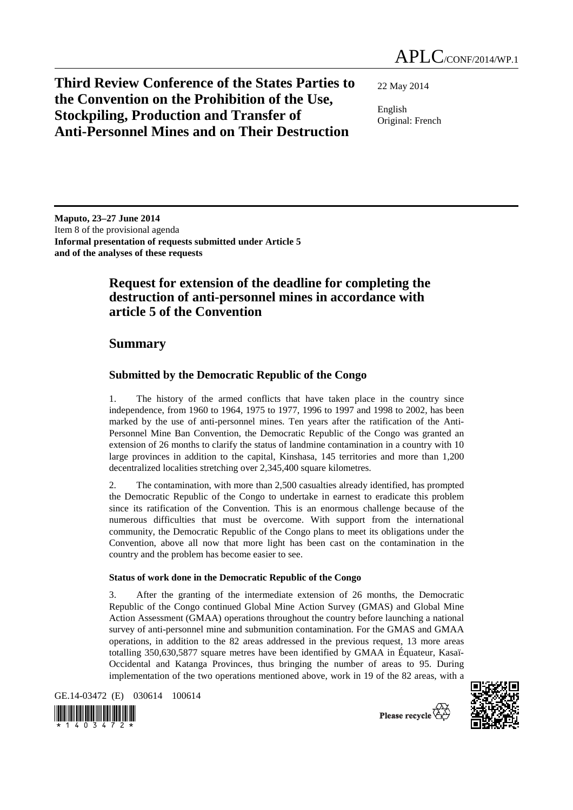**Third Review Conference of the States Parties to the Convention on the Prohibition of the Use, Stockpiling, Production and Transfer of Anti-Personnel Mines and on Their Destruction** 

22 May 2014

English Original: French

**Maputo, 23–27 June 2014**  Item 8 of the provisional agenda **Informal presentation of requests submitted under Article 5 and of the analyses of these requests** 

# **Request for extension of the deadline for completing the destruction of anti-personnel mines in accordance with article 5 of the Convention**

# **Summary**

## **Submitted by the Democratic Republic of the Congo**

1. The history of the armed conflicts that have taken place in the country since independence, from 1960 to 1964, 1975 to 1977, 1996 to 1997 and 1998 to 2002, has been marked by the use of anti-personnel mines. Ten years after the ratification of the Anti-Personnel Mine Ban Convention, the Democratic Republic of the Congo was granted an extension of 26 months to clarify the status of landmine contamination in a country with 10 large provinces in addition to the capital, Kinshasa, 145 territories and more than 1,200 decentralized localities stretching over 2,345,400 square kilometres.

2. The contamination, with more than 2,500 casualties already identified, has prompted the Democratic Republic of the Congo to undertake in earnest to eradicate this problem since its ratification of the Convention. This is an enormous challenge because of the numerous difficulties that must be overcome. With support from the international community, the Democratic Republic of the Congo plans to meet its obligations under the Convention, above all now that more light has been cast on the contamination in the country and the problem has become easier to see.

### **Status of work done in the Democratic Republic of the Congo**

3. After the granting of the intermediate extension of 26 months, the Democratic Republic of the Congo continued Global Mine Action Survey (GMAS) and Global Mine Action Assessment (GMAA) operations throughout the country before launching a national survey of anti-personnel mine and submunition contamination. For the GMAS and GMAA operations, in addition to the 82 areas addressed in the previous request, 13 more areas totalling 350,630,5877 square metres have been identified by GMAA in Équateur, Kasaï-Occidental and Katanga Provinces, thus bringing the number of areas to 95. During implementation of the two operations mentioned above, work in 19 of the 82 areas, with a

GE.14-03472 (E) 030614 100614





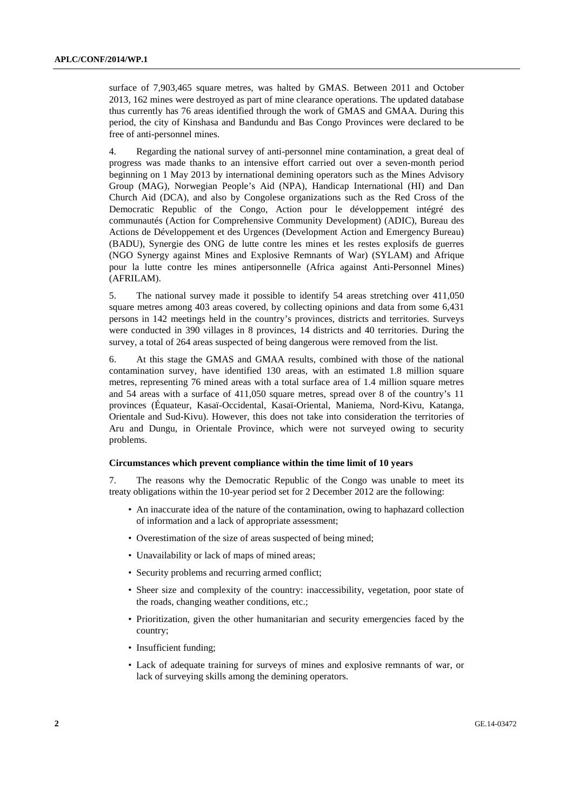surface of 7,903,465 square metres, was halted by GMAS. Between 2011 and October 2013, 162 mines were destroyed as part of mine clearance operations. The updated database thus currently has 76 areas identified through the work of GMAS and GMAA. During this period, the city of Kinshasa and Bandundu and Bas Congo Provinces were declared to be free of anti-personnel mines.

4. Regarding the national survey of anti-personnel mine contamination, a great deal of progress was made thanks to an intensive effort carried out over a seven-month period beginning on 1 May 2013 by international demining operators such as the Mines Advisory Group (MAG), Norwegian People's Aid (NPA), Handicap International (HI) and Dan Church Aid (DCA), and also by Congolese organizations such as the Red Cross of the Democratic Republic of the Congo, Action pour le développement intégré des communautés (Action for Comprehensive Community Development) (ADIC), Bureau des Actions de Développement et des Urgences (Development Action and Emergency Bureau) (BADU), Synergie des ONG de lutte contre les mines et les restes explosifs de guerres (NGO Synergy against Mines and Explosive Remnants of War) (SYLAM) and Afrique pour la lutte contre les mines antipersonnelle (Africa against Anti-Personnel Mines) (AFRILAM).

5. The national survey made it possible to identify 54 areas stretching over 411,050 square metres among 403 areas covered, by collecting opinions and data from some 6,431 persons in 142 meetings held in the country's provinces, districts and territories. Surveys were conducted in 390 villages in 8 provinces, 14 districts and 40 territories. During the survey, a total of 264 areas suspected of being dangerous were removed from the list.

6. At this stage the GMAS and GMAA results, combined with those of the national contamination survey, have identified 130 areas, with an estimated 1.8 million square metres, representing 76 mined areas with a total surface area of 1.4 million square metres and 54 areas with a surface of 411,050 square metres, spread over 8 of the country's 11 provinces (Équateur, Kasaï-Occidental, Kasaï-Oriental, Maniema, Nord-Kivu, Katanga, Orientale and Sud-Kivu). However, this does not take into consideration the territories of Aru and Dungu, in Orientale Province, which were not surveyed owing to security problems.

#### **Circumstances which prevent compliance within the time limit of 10 years**

7. The reasons why the Democratic Republic of the Congo was unable to meet its treaty obligations within the 10-year period set for 2 December 2012 are the following:

- An inaccurate idea of the nature of the contamination, owing to haphazard collection of information and a lack of appropriate assessment;
- Overestimation of the size of areas suspected of being mined;
- Unavailability or lack of maps of mined areas;
- Security problems and recurring armed conflict;
- Sheer size and complexity of the country: inaccessibility, vegetation, poor state of the roads, changing weather conditions, etc.;
- Prioritization, given the other humanitarian and security emergencies faced by the country;
- Insufficient funding;
- Lack of adequate training for surveys of mines and explosive remnants of war, or lack of surveying skills among the demining operators.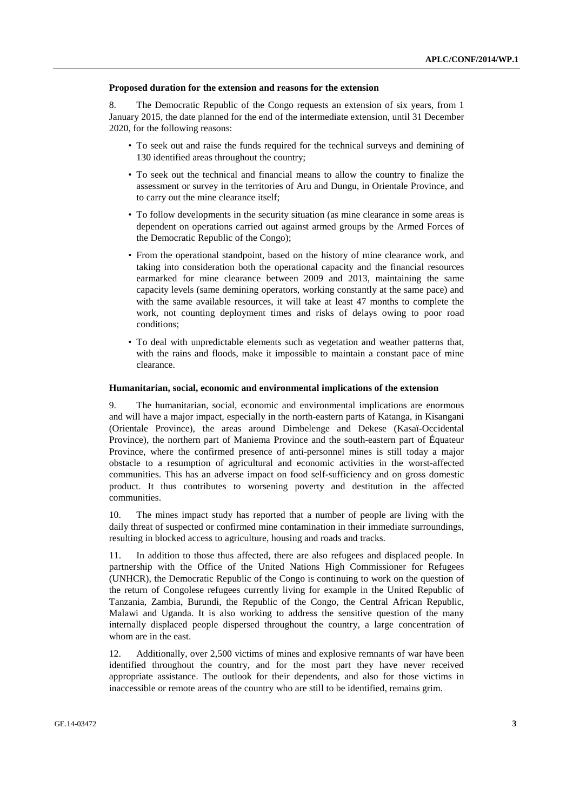#### **Proposed duration for the extension and reasons for the extension**

8. The Democratic Republic of the Congo requests an extension of six years, from 1 January 2015, the date planned for the end of the intermediate extension, until 31 December 2020, for the following reasons:

- To seek out and raise the funds required for the technical surveys and demining of 130 identified areas throughout the country;
- To seek out the technical and financial means to allow the country to finalize the assessment or survey in the territories of Aru and Dungu, in Orientale Province, and to carry out the mine clearance itself;
- To follow developments in the security situation (as mine clearance in some areas is dependent on operations carried out against armed groups by the Armed Forces of the Democratic Republic of the Congo);
- From the operational standpoint, based on the history of mine clearance work, and taking into consideration both the operational capacity and the financial resources earmarked for mine clearance between 2009 and 2013, maintaining the same capacity levels (same demining operators, working constantly at the same pace) and with the same available resources, it will take at least 47 months to complete the work, not counting deployment times and risks of delays owing to poor road conditions;
- To deal with unpredictable elements such as vegetation and weather patterns that, with the rains and floods, make it impossible to maintain a constant pace of mine clearance.

#### **Humanitarian, social, economic and environmental implications of the extension**

9. The humanitarian, social, economic and environmental implications are enormous and will have a major impact, especially in the north-eastern parts of Katanga, in Kisangani (Orientale Province), the areas around Dimbelenge and Dekese (Kasaï-Occidental Province), the northern part of Maniema Province and the south-eastern part of Équateur Province, where the confirmed presence of anti-personnel mines is still today a major obstacle to a resumption of agricultural and economic activities in the worst-affected communities. This has an adverse impact on food self-sufficiency and on gross domestic product. It thus contributes to worsening poverty and destitution in the affected communities.

10. The mines impact study has reported that a number of people are living with the daily threat of suspected or confirmed mine contamination in their immediate surroundings, resulting in blocked access to agriculture, housing and roads and tracks.

11. In addition to those thus affected, there are also refugees and displaced people. In partnership with the Office of the United Nations High Commissioner for Refugees (UNHCR), the Democratic Republic of the Congo is continuing to work on the question of the return of Congolese refugees currently living for example in the United Republic of Tanzania, Zambia, Burundi, the Republic of the Congo, the Central African Republic, Malawi and Uganda. It is also working to address the sensitive question of the many internally displaced people dispersed throughout the country, a large concentration of whom are in the east.

12. Additionally, over 2,500 victims of mines and explosive remnants of war have been identified throughout the country, and for the most part they have never received appropriate assistance. The outlook for their dependents, and also for those victims in inaccessible or remote areas of the country who are still to be identified, remains grim.